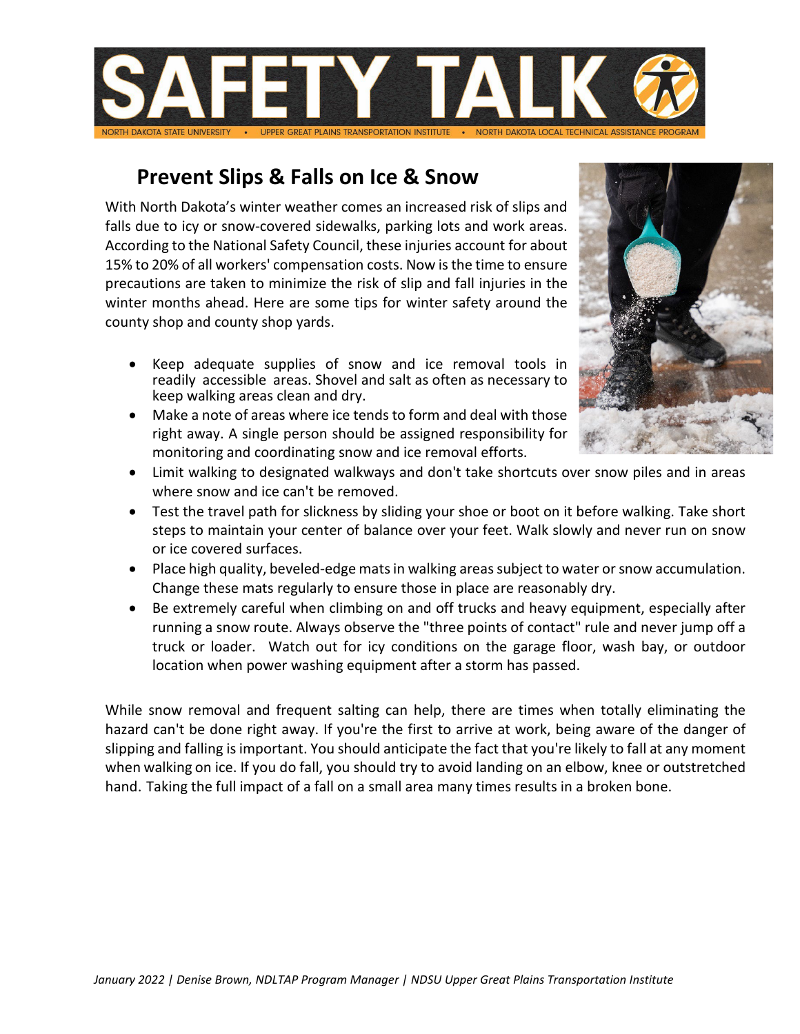

## **Prevent Slips & Falls on Ice & Snow**

With North Dakota's winter weather comes an increased risk of slips and falls due to icy or snow-covered sidewalks, parking lots and work areas. According to the National Safety Council, these injuries account for about 15% to 20% of all workers' compensation costs. Now is the time to ensure precautions are taken to minimize the risk of slip and fall injuries in the winter months ahead. Here are some tips for winter safety around the county shop and county shop yards.

- Keep adequate supplies of snow and ice removal tools in readily accessible areas. Shovel and salt as often as necessary to keep walking areas clean and dry.
- Make a note of areas where ice tends to form and deal with those right away. A single person should be assigned responsibility for monitoring and coordinating snow and ice removal efforts.



- Limit walking to designated walkways and don't take shortcuts over snow piles and in areas where snow and ice can't be removed.
- Test the travel path for slickness by sliding your shoe or boot on it before walking. Take short steps to maintain your center of balance over your feet. Walk slowly and never run on snow or ice covered surfaces.
- Place high quality, beveled-edge mats in walking areas subject to water or snow accumulation. Change these mats regularly to ensure those in place are reasonably dry.
- Be extremely careful when climbing on and off trucks and heavy equipment, especially after running a snow route. Always observe the "three points of contact" rule and never jump off a truck or loader. Watch out for icy conditions on the garage floor, wash bay, or outdoor location when power washing equipment after a storm has passed.

While snow removal and frequent salting can help, there are times when totally eliminating the hazard can't be done right away. If you're the first to arrive at work, being aware of the danger of slipping and falling is important. You should anticipate the fact that you're likely to fall at any moment when walking on ice. If you do fall, you should try to avoid landing on an elbow, knee or outstretched hand. Taking the full impact of a fall on a small area many times results in a broken bone.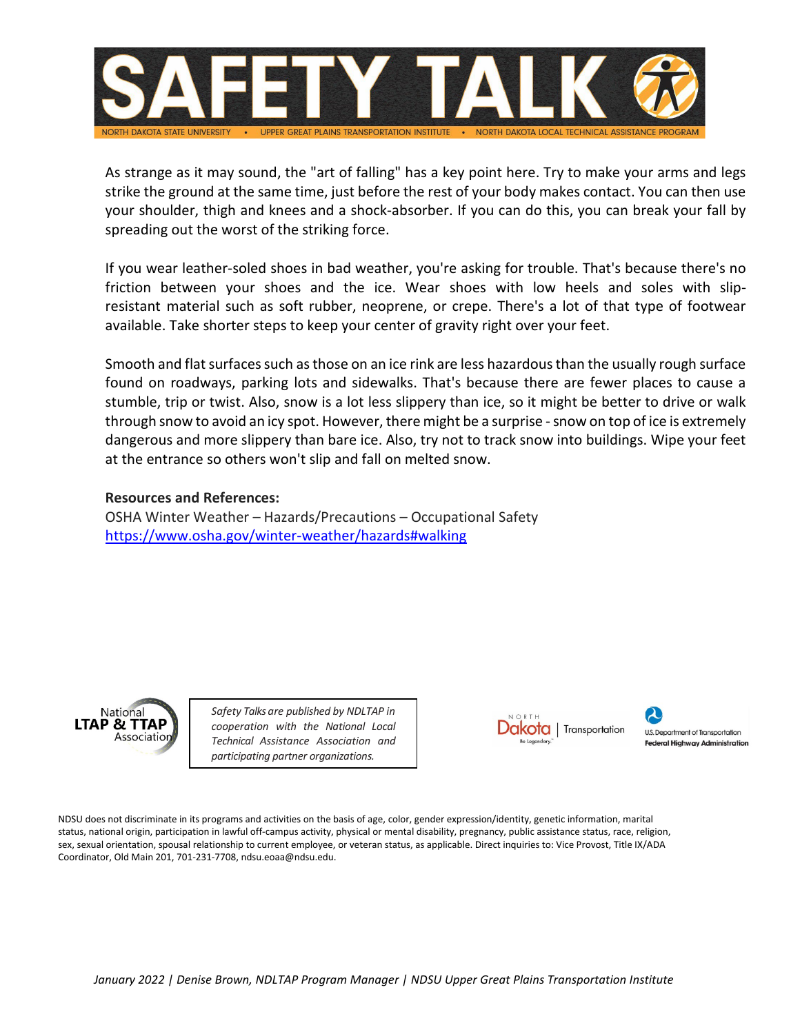

As strange as it may sound, the "art of falling" has a key point here. Try to make your arms and legs strike the ground at the same time, just before the rest of your body makes contact. You can then use your shoulder, thigh and knees and a shock-absorber. If you can do this, you can break your fall by spreading out the worst of the striking force.

If you wear leather-soled shoes in bad weather, you're asking for trouble. That's because there's no friction between your shoes and the ice. Wear shoes with low heels and soles with slipresistant material such as soft rubber, neoprene, or crepe. There's a lot of that type of footwear available. Take shorter steps to keep your center of gravity right over your feet.

Smooth and flat surfaces such as those on an ice rink are less hazardous than the usually rough surface found on roadways, parking lots and sidewalks. That's because there are fewer places to cause a stumble, trip or twist. Also, snow is a lot less slippery than ice, so it might be better to drive or walk through snow to avoid an icy spot. However, there might be a surprise - snow on top of ice is extremely dangerous and more slippery than bare ice. Also, try not to track snow into buildings. Wipe your feet at the entrance so others won't slip and fall on melted snow.

## **Resources and References:**

OSHA Winter Weather – Hazards/Precautions – Occupational Safety <https://www.osha.gov/winter-weather/hazards#walking>



*Safety Talks are published by NDLTAP in cooperation with the National Local Technical Assistance Association and participating partner organizations.*



**U.S. Department of Transportation Federal Highway Administration** 

NDSU does not discriminate in its programs and activities on the basis of age, color, gender expression/identity, genetic information, marital status, national origin, participation in lawful off-campus activity, physical or mental disability, pregnancy, public assistance status, race, religion, sex, sexual orientation, spousal relationship to current employee, or veteran status, as applicable. Direct inquiries to: Vice Provost, Title IX/ADA Coordinator, Old Main 201, 701-231-7708, ndsu.eoaa@ndsu.edu.